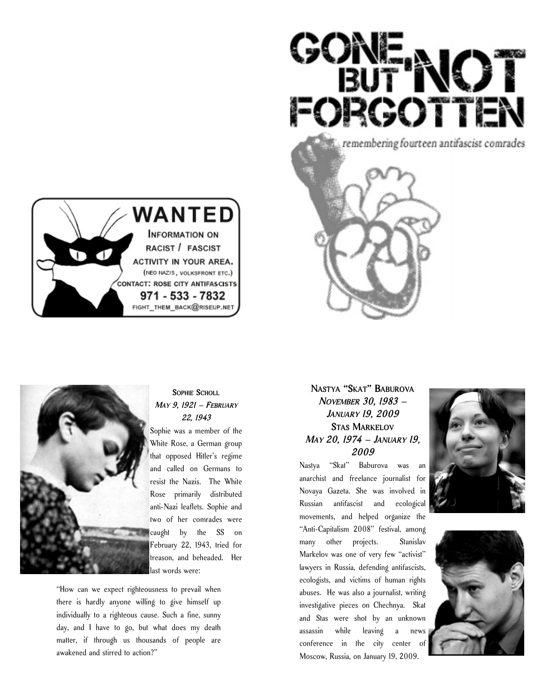





### **SOPHIE SCHOLL** *MAY 9, 1921 – FEBRUARY 22, 1943*

Sophie was a member of the White Rose, a German group that opposed Hitler's regime and called on Germans to resist the Nazis. The White Rose primarily distributed anti-Nazi leaflets. Sophie and two of her comrades were caught by the SS on February 22, 1943, tried for treason, and beheaded. Her last words were:

"How can we expect righteousness to prevail when there is hardly anyone willing to give himself up individually to a righteous cause. Such a fine, sunny day, and I have to go, but what does my death matter, if through us thousands of people are awakened and stirred to action?"

## **NASTYA "SKAT" BABUROVA** *NOVEMBER 30, 1983 – JANUARY 19, 2009* **STAS MARKELOV** *MAY 20, 1974 – JANUARY 19, 2009*

Nastya "Skat" Baburova was an anarchist and freelance journalist for Novaya Gazeta. She was involved in Russian antifascist and ecological movements, and helped organize the "Anti-Capitalism 2008" festival, among many other projects. Stanislav Markelov was one of very few "activist" lawyers in Russia, defending antifascists, ecologists, and victims of human rights abuses. He was also a journalist, writing investigative pieces on Chechnya. Skat and Stas were shot by an unknown assassin while leaving a news conference in the city center of Moscow, Russia, on January 19, 2009.



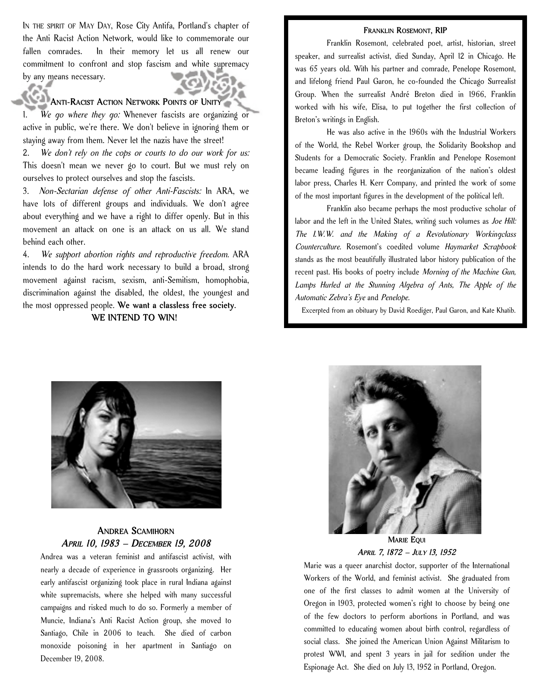IN THE SPIRIT OF MAY DAY, Rose City Antifa, Portland's chapter of the Anti Racist Action Network, would like to commemorate our fallen comrades. In their memory let us all renew our commitment to confront and stop fascism and white supremacy by any means necessary.

#### **ANTI-RACIST ACTION NETWORK POINTS OF UNITY**

1. *We go where they go:* Whenever fascists are organizing or active in public, we're there. We don't believe in ignoring them or staying away from them. Never let the nazis have the street!

2. *We don't rely on the cops or courts to do our work for us:* This doesn't mean we never go to court. But we must rely on ourselves to protect ourselves and stop the fascists.

3. *Non-Sectarian defense of other Anti-Fascists:* In ARA, we have lots of different groups and individuals. We don't agree about everything and we have a right to differ openly. But in this movement an attack on one is an attack on us all. We stand behind each other.

4. *We support abortion rights and reproductive freedom.* ARA intends to do the hard work necessary to build a broad, strong movement against racism, sexism, anti-Semitism, homophobia, discrimination against the disabled, the oldest, the youngest and the most oppressed people. **We want a classless free society.**

**WE INTEND TO WIN!**

#### **FRANKLIN ROSEMONT, RIP**

Franklin Rosemont, celebrated poet, artist, historian, street speaker, and surrealist activist, died Sunday, April 12 in Chicago. He was 65 years old. With his partner and comrade, Penelope Rosemont, and lifelong friend Paul Garon, he co-founded the Chicago Surrealist Group. When the surrealist André Breton died in 1966, Franklin worked with his wife, Elisa, to put together the first collection of Breton's writings in English.

He was also active in the 1960s with the Industrial Workers of the World, the Rebel Worker group, the Solidarity Bookshop and Students for a Democratic Society. Franklin and Penelope Rosemont became leading figures in the reorganization of the nation's oldest labor press, Charles H. Kerr Company, and printed the work of some of the most important figures in the development of the political left.

Franklin also became perhaps the most productive scholar of labor and the left in the United States, writing such volumes as *Joe Hill: The I.W.W. and the Making of a Revolutionary Workingclass Counterculture*. Rosemont's coedited volume *Haymarket Scrapbook* stands as the most beautifully illustrated labor history publication of the recent past. His books of poetry include *Morning of the Machine Gun, Lamps Hurled at the Stunning Algebra of Ants, The Apple of the Automatic Zebra's Eye* and *Penelope.*

Excerpted from an obituary by David Roediger, Paul Garon, and Kate Khatib.



#### **ANDREA SCAMIHORN** *APRIL 10, 1983 – DECEMBER 19, 2008*

Andrea was a veteran feminist and antifascist activist, with nearly a decade of experience in grassroots organizing. Her early antifascist organizing took place in rural Indiana against white supremacists, where she helped with many successful campaigns and risked much to do so. Formerly a member of Muncie, Indiana's Anti Racist Action group, she moved to Santiago, Chile in 2006 to teach. She died of carbon monoxide poisoning in her apartment in Santiago on December 19, 2008.



*APRIL 7, 1872 – JULY 13, 1952*

Marie was a queer anarchist doctor, supporter of the International Workers of the World, and feminist activist. She graduated from one of the first classes to admit women at the University of Oregon in 1903, protected women's right to choose by being one of the few doctors to perform abortions in Portland, and was committed to educating women about birth control, regardless of social class. She joined the American Union Against Militarism to protest WWI, and spent 3 years in jail for sedition under the Espionage Act. She died on July 13, 1952 in Portland, Oregon.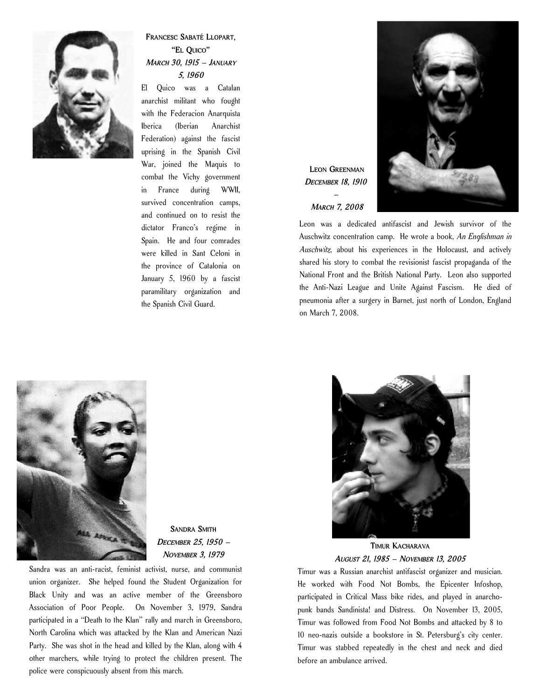

## **FRANCESC SABATÉ LLOPART, "EL QUICO"** *MARCH 30, 1915 – JANUARY 5, 1960*

El Quico was a Catalan anarchist militant who fought with the Federacion Anarquista Iberica (Iberian Anarchist Federation) against the fascist uprising in the Spanish Civil War, joined the Maquis to combat the Vichy government in France during WWII, survived concentration camps, and continued on to resist the dictator Franco's regime in Spain. He and four comrades were killed in Sant Celoni in the province of Catalonia on January 5, 1960 by a fascist paramilitary organization and the Spanish Civil Guard.

# **LEON GREENMAN** *DECEMBER 18, 1910 – MARCH 7, 2008*



Leon was a dedicated antifascist and Jewish survivor of the Auschwitz concentration camp. He wrote a book, *An Englishman in Auschwitz*, about his experiences in the Holocaust, and actively shared his story to combat the revisionist fascist propaganda of the National Front and the British National Party. Leon also supported the Anti-Nazi League and Unite Against Fascism. He died of pneumonia after a surgery in Barnet, just north of London, England on March 7, 2008.



**SANDRA SMITH** *DECEMBER 25, 1950 – NOVEMBER 3, 1979*

Sandra was an anti-racist, feminist activist, nurse, and communist union organizer. She helped found the Student Organization for Black Unity and was an active member of the Greensboro Association of Poor People. On November 3, 1979, Sandra participated in a "Death to the Klan" rally and march in Greensboro, North Carolina which was attacked by the Klan and American Nazi Party. She was shot in the head and killed by the Klan, along with 4 other marchers, while trying to protect the children present. The police were conspicuously absent from this march.



**TIMUR KACHARAVA** *AUGUST 21, 1985 – NOVEMBER 13, 2005*

Timur was a Russian anarchist antifascist organizer and musician. He worked with Food Not Bombs, the Epicenter Infoshop, participated in Critical Mass bike rides, and played in anarchopunk bands Sandinista! and Distress. On November 13, 2005, Timur was followed from Food Not Bombs and attacked by 8 to 10 neo-nazis outside a bookstore in St. Petersburg's city center. Timur was stabbed repeatedly in the chest and neck and died before an ambulance arrived.